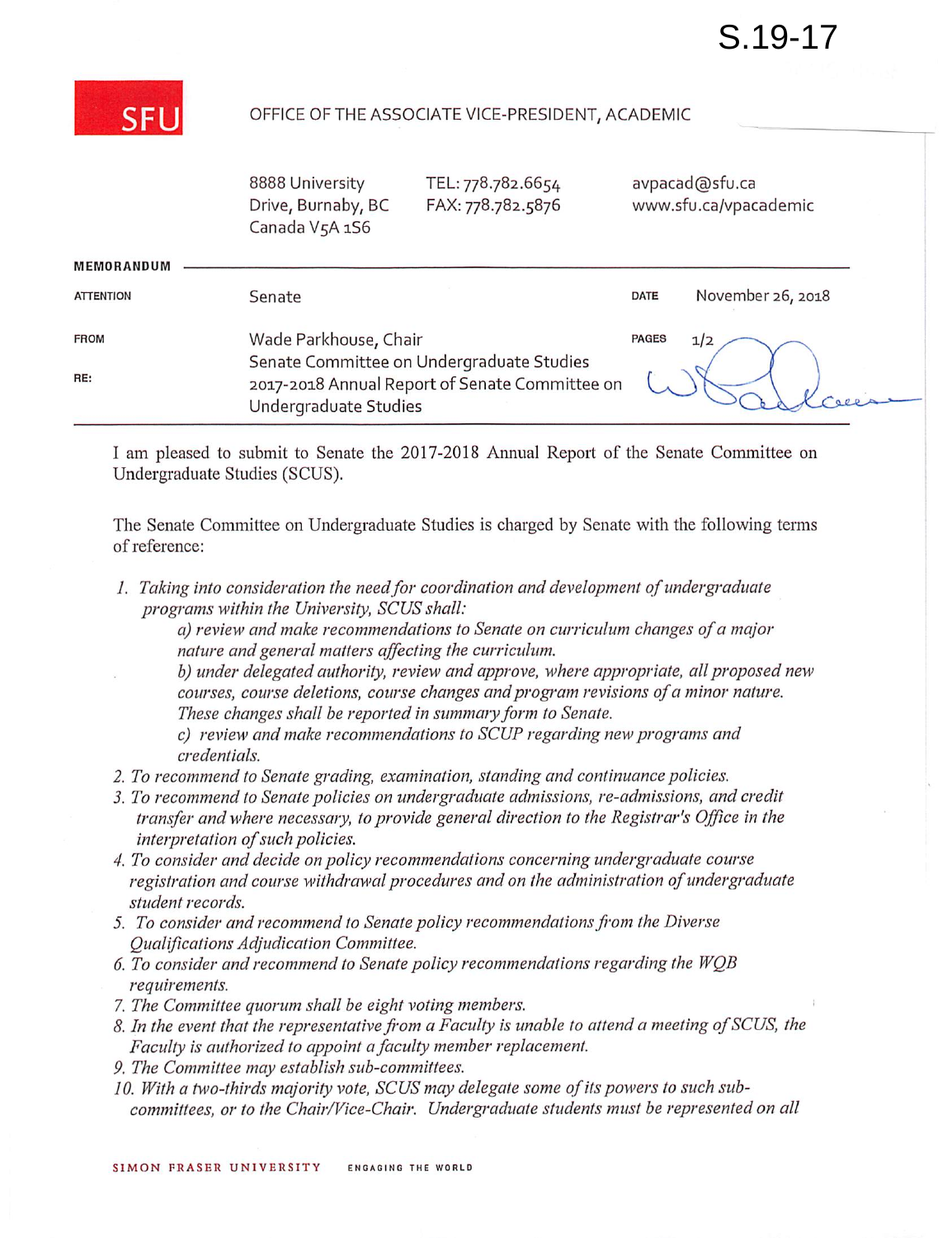

## OFFICE OF THE ASSOCIATE VICE-PRESIDENT, ACADEMIC

|                  | 8888 University<br>Drive, Burnaby, BC<br>Canada V5A 1S6                                                              | TEL: 778.782.6654<br>FAX: 778.782.5876 |              | avpacad@sfu.ca<br>www.sfu.ca/vpacademic |
|------------------|----------------------------------------------------------------------------------------------------------------------|----------------------------------------|--------------|-----------------------------------------|
| MEMORANDUM       |                                                                                                                      |                                        |              |                                         |
| <b>ATTENTION</b> | Senate                                                                                                               |                                        | <b>DATE</b>  | November 26, 2018                       |
| <b>FROM</b>      | Wade Parkhouse, Chair                                                                                                |                                        | <b>PAGES</b> | 1/2                                     |
| RE:              | Senate Committee on Undergraduate Studies<br>2017-2018 Annual Report of Senate Committee on<br>Undergraduate Studies |                                        |              |                                         |

I am pleased to submit to Senate the 2017-2018 Annual Report of the Senate Committee on Undergraduate Studies (SOUS).

The Senate Committee on Undergraduate Studies is charged by Senate with the following terms of reference:

1. Taking into consideration the need for coordination and development of undergraduate programs within the University, SCUS shall:

a) review and make recommendations to Senate on curriculum changes ofa major nature and general matters affecting the curriculum.

b) under delegated authority, review and approve, where appropriate, all proposed new courses, course deletions, course changes and program revisions of a minor nature. These changes shall be reported in summary form to Senate.

c) review and make recommendations to SCUP regarding new programs and credentials.

- 2. To recommend to Senate grading, examination, standing and continuance policies.
- 3. To recommend to Senate policies on undergraduate admissions, re-admissions, and credit transfer and where necessary, to provide general direction to the Registrar's Office in the interpretation of such policies.
- 4. To consider and decide on policy recommendations concerning undergraduate course registration and course withdrawal procedures and on the administration of undergraduate student records.
- 5. To consider and recommend to Senate policy recommendations from the Diverse Qualifications Adjudication Committee.
- 6. To consider and recommend to Senate policy recommendations regarding the  $WQB$ requirements.
- 7. The Committee quorum shall be eight voting members.
- 8. In the event that the representative from a Faculty is unable to attend a meeting of SCUS, the Faculty is authorized to appoint a faculty member replacement.
- 9. The Committee may establish sub-committees.
- 10. With a two-thirds majority vote, SCUS may delegate some of its powers to such sub committees, or to the Chair/Vice-Chair. Undergraduate students must be represented on all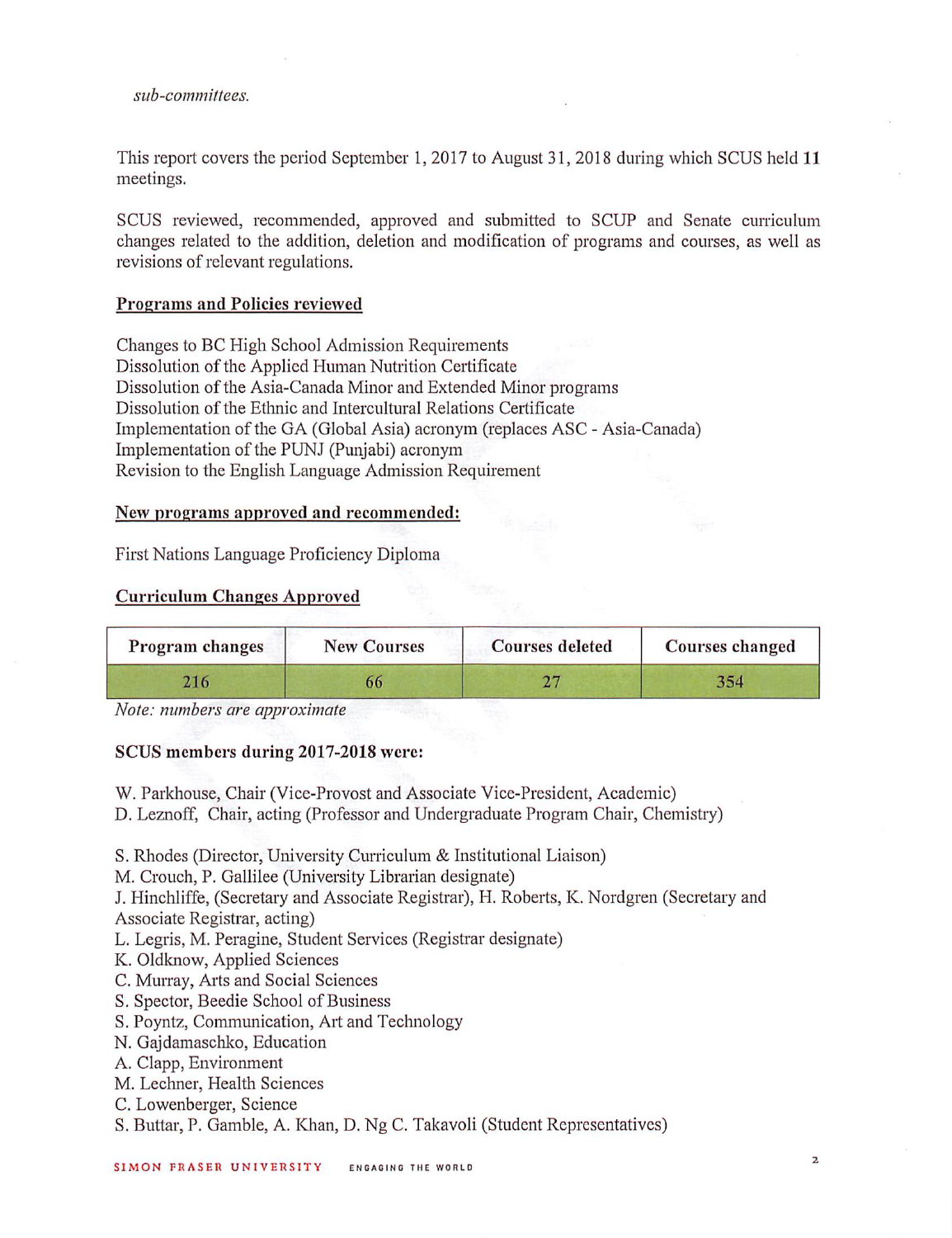#### sub-committees.

This report covers the period September 1,2017 to August 31, 2018 during which SCUS held 11 meetings.

SCUS reviewed, recommended, approved and submitted to SCUP and Senate curriculum changes related to the addition, deletion and modification of programs and courses, as well as revisions of relevant regulations.

# Programs and Policies reviewed

Changes to BC High School Admission Requirements Dissolution of the Applied Human Nutrition Certificate Dissolution of the Asia-Canada Minor and Extended Minor programs Dissolution of the Ethnic and Intercultural Relations Certificate Implementation of the GA (Global Asia) acronym (replaces ASC - Asia-Canada) Implementation of the PUNJ (Punjabi) acronym Revision to the English Language Admission Requirement

#### New programs approved and recommended;

First Nations Language Proficiency Diploma

#### Curriculum Changes Approved

| Program changes | <b>New Courses</b> | <b>Courses deleted</b> | Courses changed |
|-----------------|--------------------|------------------------|-----------------|
|                 | 66                 |                        | 354             |

Note: numbers are approximate

### SCUS members during 2017-2018 were:

W. Parkhouse, Chair (Vice-Provost and Associate Vice-President, Academic)

D. Leznoff, Chair, acting (Professor and Undergraduate Program Chair, Chemistry)

S. Rhodes (Director, University Curriculum & Institutional Liaison)

M. Crouch, P. Gallilee (University Librarian designate)

J. Hinchliffe, (Secretary and Associate Registrar), H. Roberts, K. Nordgren (Secretary and Associate Registrar, acting)

L. Legris, M. Peragine, Student Services (Registrar designate)

- K. Oldknow, Applied Sciences
- C. Murray, Arts and Social Sciences
- S. Spector, Beedie School of Business
- S. Poyntz, Communication, Art and Technology
- N. Gajdamaschko, Education
- A. Clapp, Environment
- M. Lechner, Health Sciences
- C. Lowenberger, Science
- S. Buttar, P. Gamble, A. Khan, D. Ng C. Takavoli (Student Representatives)